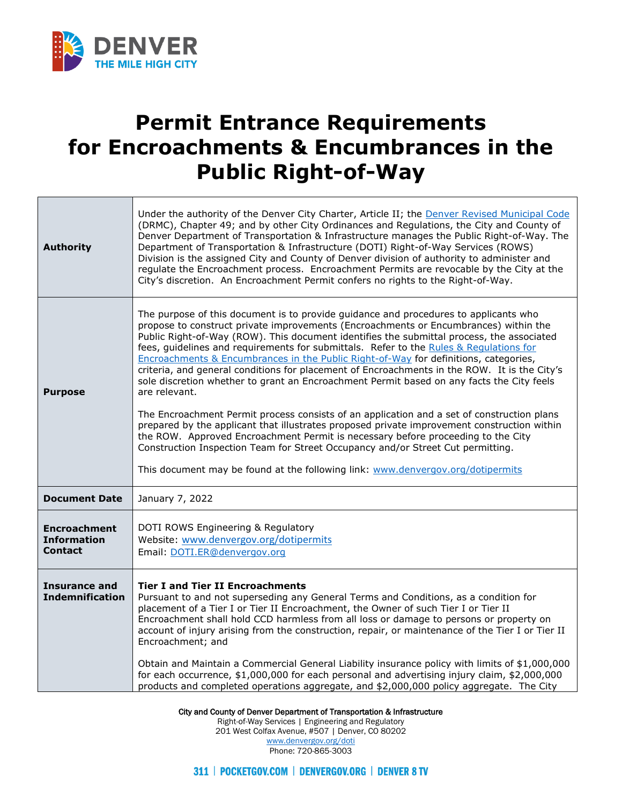

т

Г

## **Permit Entrance Requirements for Encroachments & Encumbrances in the Public Right-of-Way**

٦

| <b>Authority</b>                                            | Under the authority of the Denver City Charter, Article II; the Denver Revised Municipal Code<br>(DRMC), Chapter 49; and by other City Ordinances and Regulations, the City and County of<br>Denver Department of Transportation & Infrastructure manages the Public Right-of-Way. The<br>Department of Transportation & Infrastructure (DOTI) Right-of-Way Services (ROWS)<br>Division is the assigned City and County of Denver division of authority to administer and<br>regulate the Encroachment process. Encroachment Permits are revocable by the City at the<br>City's discretion. An Encroachment Permit confers no rights to the Right-of-Way.                                                                                                                                                                                                                                                                                                                                                                                                                                                                        |
|-------------------------------------------------------------|----------------------------------------------------------------------------------------------------------------------------------------------------------------------------------------------------------------------------------------------------------------------------------------------------------------------------------------------------------------------------------------------------------------------------------------------------------------------------------------------------------------------------------------------------------------------------------------------------------------------------------------------------------------------------------------------------------------------------------------------------------------------------------------------------------------------------------------------------------------------------------------------------------------------------------------------------------------------------------------------------------------------------------------------------------------------------------------------------------------------------------|
| <b>Purpose</b>                                              | The purpose of this document is to provide guidance and procedures to applicants who<br>propose to construct private improvements (Encroachments or Encumbrances) within the<br>Public Right-of-Way (ROW). This document identifies the submittal process, the associated<br>fees, guidelines and requirements for submittals. Refer to the Rules & Requlations for<br>Encroachments & Encumbrances in the Public Right-of-Way for definitions, categories,<br>criteria, and general conditions for placement of Encroachments in the ROW. It is the City's<br>sole discretion whether to grant an Encroachment Permit based on any facts the City feels<br>are relevant.<br>The Encroachment Permit process consists of an application and a set of construction plans<br>prepared by the applicant that illustrates proposed private improvement construction within<br>the ROW. Approved Encroachment Permit is necessary before proceeding to the City<br>Construction Inspection Team for Street Occupancy and/or Street Cut permitting.<br>This document may be found at the following link: www.denvergov.org/dotipermits |
| <b>Document Date</b>                                        | January 7, 2022                                                                                                                                                                                                                                                                                                                                                                                                                                                                                                                                                                                                                                                                                                                                                                                                                                                                                                                                                                                                                                                                                                                  |
| <b>Encroachment</b><br><b>Information</b><br><b>Contact</b> | DOTI ROWS Engineering & Regulatory<br>Website: www.denvergov.org/dotipermits<br>Email: DOTI.ER@denvergov.org                                                                                                                                                                                                                                                                                                                                                                                                                                                                                                                                                                                                                                                                                                                                                                                                                                                                                                                                                                                                                     |
| <b>Insurance and</b><br><b>Indemnification</b>              | <b>Tier I and Tier II Encroachments</b><br>Pursuant to and not superseding any General Terms and Conditions, as a condition for<br>placement of a Tier I or Tier II Encroachment, the Owner of such Tier I or Tier II<br>Encroachment shall hold CCD harmless from all loss or damage to persons or property on<br>account of injury arising from the construction, repair, or maintenance of the Tier I or Tier II<br>Encroachment; and<br>Obtain and Maintain a Commercial General Liability insurance policy with limits of \$1,000,000<br>for each occurrence, \$1,000,000 for each personal and advertising injury claim, \$2,000,000<br>products and completed operations aggregate, and \$2,000,000 policy aggregate. The City                                                                                                                                                                                                                                                                                                                                                                                            |

City and County of Denver Department of Transportation & Infrastructure

Right-of-Way Services | Engineering and Regulatory 201 West Colfax Avenue, #507 | Denver, CO 80202 [www.denvergov.org/doti](https://www.denvergov.org/content/denvergov/en/transportation-mobility.html)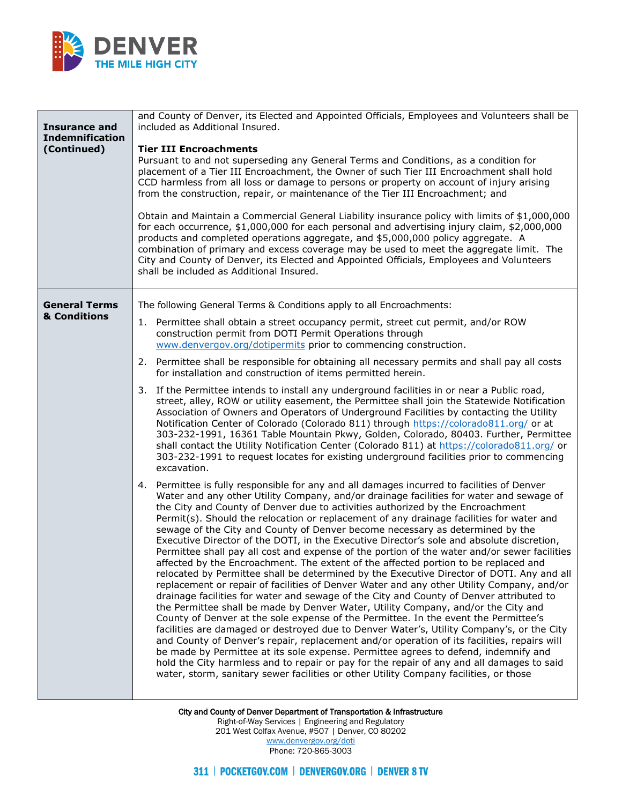

| <b>Insurance and</b><br><b>Indemnification</b><br>(Continued) | and County of Denver, its Elected and Appointed Officials, Employees and Volunteers shall be<br>included as Additional Insured.<br><b>Tier III Encroachments</b><br>Pursuant to and not superseding any General Terms and Conditions, as a condition for<br>placement of a Tier III Encroachment, the Owner of such Tier III Encroachment shall hold<br>CCD harmless from all loss or damage to persons or property on account of injury arising<br>from the construction, repair, or maintenance of the Tier III Encroachment; and<br>Obtain and Maintain a Commercial General Liability insurance policy with limits of \$1,000,000<br>for each occurrence, \$1,000,000 for each personal and advertising injury claim, \$2,000,000<br>products and completed operations aggregate, and \$5,000,000 policy aggregate. A<br>combination of primary and excess coverage may be used to meet the aggregate limit. The<br>City and County of Denver, its Elected and Appointed Officials, Employees and Volunteers<br>shall be included as Additional Insured.                                                                                                                                                                                                                                                                                                                                                                                                                                                                                                                                                                                                                                                                                                                                                                                                                                                                                                                                                                                                                                                                                                                                                                                                                                                                                                                                                                                                                                                                                                                                                                                                                                                                                                                                                                       |
|---------------------------------------------------------------|------------------------------------------------------------------------------------------------------------------------------------------------------------------------------------------------------------------------------------------------------------------------------------------------------------------------------------------------------------------------------------------------------------------------------------------------------------------------------------------------------------------------------------------------------------------------------------------------------------------------------------------------------------------------------------------------------------------------------------------------------------------------------------------------------------------------------------------------------------------------------------------------------------------------------------------------------------------------------------------------------------------------------------------------------------------------------------------------------------------------------------------------------------------------------------------------------------------------------------------------------------------------------------------------------------------------------------------------------------------------------------------------------------------------------------------------------------------------------------------------------------------------------------------------------------------------------------------------------------------------------------------------------------------------------------------------------------------------------------------------------------------------------------------------------------------------------------------------------------------------------------------------------------------------------------------------------------------------------------------------------------------------------------------------------------------------------------------------------------------------------------------------------------------------------------------------------------------------------------------------------------------------------------------------------------------------------------------------------------------------------------------------------------------------------------------------------------------------------------------------------------------------------------------------------------------------------------------------------------------------------------------------------------------------------------------------------------------------------------------------------------------------------------------------------------------------------------|
| <b>General Terms</b><br>& Conditions                          | The following General Terms & Conditions apply to all Encroachments:<br>1. Permittee shall obtain a street occupancy permit, street cut permit, and/or ROW<br>construction permit from DOTI Permit Operations through<br>www.denvergov.org/dotipermits prior to commencing construction.<br>2. Permittee shall be responsible for obtaining all necessary permits and shall pay all costs<br>for installation and construction of items permitted herein.<br>3. If the Permittee intends to install any underground facilities in or near a Public road,<br>street, alley, ROW or utility easement, the Permittee shall join the Statewide Notification<br>Association of Owners and Operators of Underground Facilities by contacting the Utility<br>Notification Center of Colorado (Colorado 811) through https://colorado811.org/ or at<br>303-232-1991, 16361 Table Mountain Pkwy, Golden, Colorado, 80403. Further, Permittee<br>shall contact the Utility Notification Center (Colorado 811) at https://colorado811.org/ or<br>303-232-1991 to request locates for existing underground facilities prior to commencing<br>excavation.<br>4. Permittee is fully responsible for any and all damages incurred to facilities of Denver<br>Water and any other Utility Company, and/or drainage facilities for water and sewage of<br>the City and County of Denver due to activities authorized by the Encroachment<br>Permit(s). Should the relocation or replacement of any drainage facilities for water and<br>sewage of the City and County of Denver become necessary as determined by the<br>Executive Director of the DOTI, in the Executive Director's sole and absolute discretion,<br>Permittee shall pay all cost and expense of the portion of the water and/or sewer facilities<br>affected by the Encroachment. The extent of the affected portion to be replaced and<br>relocated by Permittee shall be determined by the Executive Director of DOTI. Any and all<br>replacement or repair of facilities of Denver Water and any other Utility Company, and/or<br>drainage facilities for water and sewage of the City and County of Denver attributed to<br>the Permittee shall be made by Denver Water, Utility Company, and/or the City and<br>County of Denver at the sole expense of the Permittee. In the event the Permittee's<br>facilities are damaged or destroyed due to Denver Water's, Utility Company's, or the City<br>and County of Denver's repair, replacement and/or operation of its facilities, repairs will<br>be made by Permittee at its sole expense. Permittee agrees to defend, indemnify and<br>hold the City harmless and to repair or pay for the repair of any and all damages to said<br>water, storm, sanitary sewer facilities or other Utility Company facilities, or those |

City and County of Denver Department of Transportation & Infrastructure Right-of-Way Services | Engineering and Regulatory 201 West Colfax Avenue, #507 | Denver, CO 80202 [www.denvergov.org/doti](https://www.denvergov.org/content/denvergov/en/transportation-mobility.html) Phone: 720-865-3003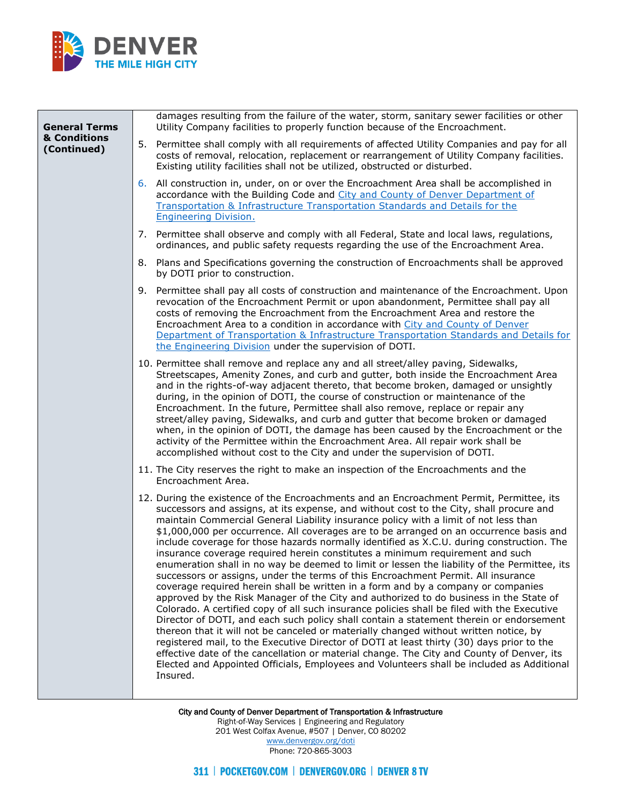

City and County of Denver Department of Transportation & Infrastructure Right-of-Way Services | Engineering and Regulatory 201 West Colfax Avenue, #507 | Denver, CO 80202 [www.denvergov.org/doti](https://www.denvergov.org/content/denvergov/en/transportation-mobility.html) Phone: 720-865-3003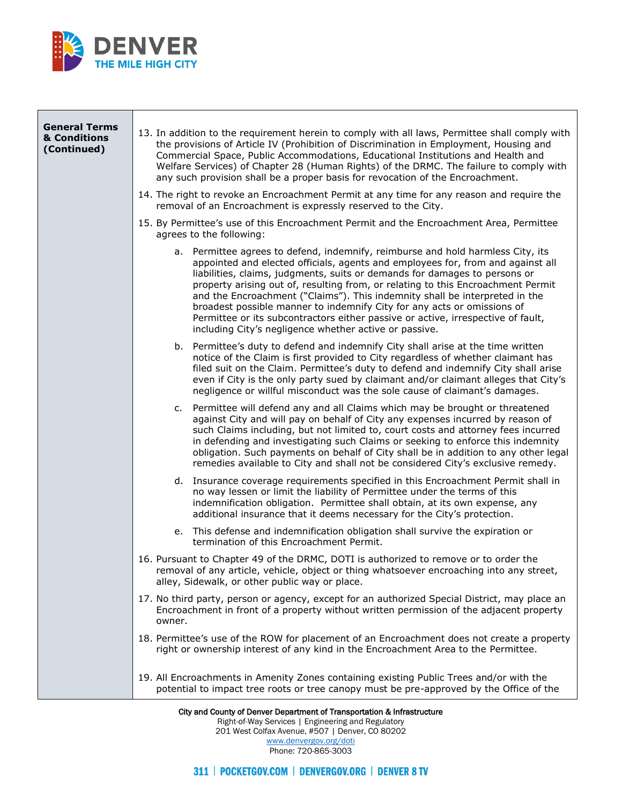

| <b>General Terms</b><br>& Conditions<br>(Continued) | 13. In addition to the requirement herein to comply with all laws, Permittee shall comply with<br>the provisions of Article IV (Prohibition of Discrimination in Employment, Housing and<br>Commercial Space, Public Accommodations, Educational Institutions and Health and<br>Welfare Services) of Chapter 28 (Human Rights) of the DRMC. The failure to comply with<br>any such provision shall be a proper basis for revocation of the Encroachment.                                                                                                                                                                                     |
|-----------------------------------------------------|----------------------------------------------------------------------------------------------------------------------------------------------------------------------------------------------------------------------------------------------------------------------------------------------------------------------------------------------------------------------------------------------------------------------------------------------------------------------------------------------------------------------------------------------------------------------------------------------------------------------------------------------|
|                                                     | 14. The right to revoke an Encroachment Permit at any time for any reason and require the<br>removal of an Encroachment is expressly reserved to the City.                                                                                                                                                                                                                                                                                                                                                                                                                                                                                   |
|                                                     | 15. By Permittee's use of this Encroachment Permit and the Encroachment Area, Permittee<br>agrees to the following:                                                                                                                                                                                                                                                                                                                                                                                                                                                                                                                          |
|                                                     | a. Permittee agrees to defend, indemnify, reimburse and hold harmless City, its<br>appointed and elected officials, agents and employees for, from and against all<br>liabilities, claims, judgments, suits or demands for damages to persons or<br>property arising out of, resulting from, or relating to this Encroachment Permit<br>and the Encroachment ("Claims"). This indemnity shall be interpreted in the<br>broadest possible manner to indemnify City for any acts or omissions of<br>Permittee or its subcontractors either passive or active, irrespective of fault,<br>including City's negligence whether active or passive. |
|                                                     | b. Permittee's duty to defend and indemnify City shall arise at the time written<br>notice of the Claim is first provided to City regardless of whether claimant has<br>filed suit on the Claim. Permittee's duty to defend and indemnify City shall arise<br>even if City is the only party sued by claimant and/or claimant alleges that City's<br>negligence or willful misconduct was the sole cause of claimant's damages.                                                                                                                                                                                                              |
|                                                     | c. Permittee will defend any and all Claims which may be brought or threatened<br>against City and will pay on behalf of City any expenses incurred by reason of<br>such Claims including, but not limited to, court costs and attorney fees incurred<br>in defending and investigating such Claims or seeking to enforce this indemnity<br>obligation. Such payments on behalf of City shall be in addition to any other legal<br>remedies available to City and shall not be considered City's exclusive remedy.                                                                                                                           |
|                                                     | d. Insurance coverage requirements specified in this Encroachment Permit shall in<br>no way lessen or limit the liability of Permittee under the terms of this<br>indemnification obligation. Permittee shall obtain, at its own expense, any<br>additional insurance that it deems necessary for the City's protection.                                                                                                                                                                                                                                                                                                                     |
|                                                     | e. This defense and indemnification obligation shall survive the expiration or<br>termination of this Encroachment Permit.                                                                                                                                                                                                                                                                                                                                                                                                                                                                                                                   |
|                                                     | 16. Pursuant to Chapter 49 of the DRMC, DOTI is authorized to remove or to order the<br>removal of any article, vehicle, object or thing whatsoever encroaching into any street,<br>alley, Sidewalk, or other public way or place.                                                                                                                                                                                                                                                                                                                                                                                                           |
|                                                     | 17. No third party, person or agency, except for an authorized Special District, may place an<br>Encroachment in front of a property without written permission of the adjacent property<br>owner.                                                                                                                                                                                                                                                                                                                                                                                                                                           |
|                                                     | 18. Permittee's use of the ROW for placement of an Encroachment does not create a property<br>right or ownership interest of any kind in the Encroachment Area to the Permittee.                                                                                                                                                                                                                                                                                                                                                                                                                                                             |
|                                                     | 19. All Encroachments in Amenity Zones containing existing Public Trees and/or with the<br>potential to impact tree roots or tree canopy must be pre-approved by the Office of the                                                                                                                                                                                                                                                                                                                                                                                                                                                           |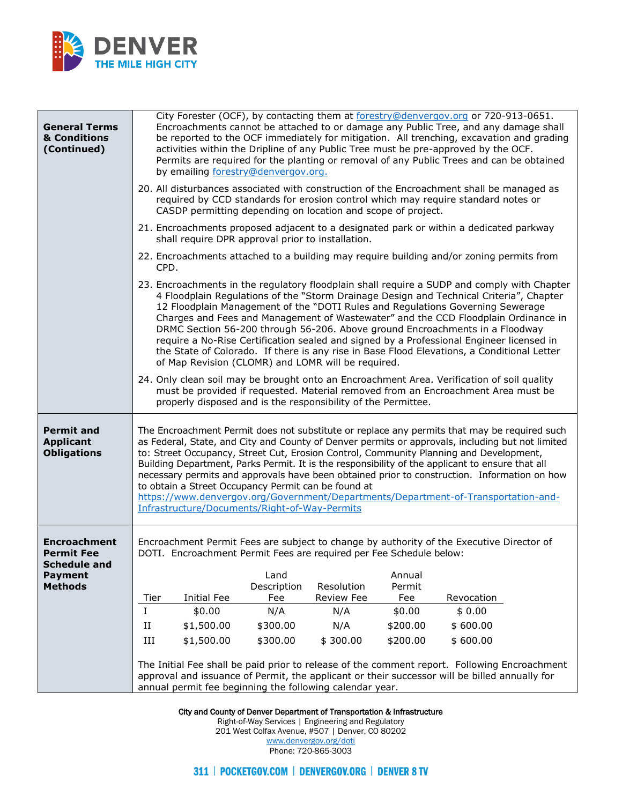

| <b>General Terms</b><br>& Conditions<br>(Continued)                                                 | City Forester (OCF), by contacting them at forestry@denvergov.org or 720-913-0651.<br>Encroachments cannot be attached to or damage any Public Tree, and any damage shall<br>be reported to the OCF immediately for mitigation. All trenching, excavation and grading<br>activities within the Dripline of any Public Tree must be pre-approved by the OCF.<br>Permits are required for the planting or removal of any Public Trees and can be obtained<br>by emailing forestry@denvergov.org.                                                                                                                                                                                                 |
|-----------------------------------------------------------------------------------------------------|------------------------------------------------------------------------------------------------------------------------------------------------------------------------------------------------------------------------------------------------------------------------------------------------------------------------------------------------------------------------------------------------------------------------------------------------------------------------------------------------------------------------------------------------------------------------------------------------------------------------------------------------------------------------------------------------|
|                                                                                                     | 20. All disturbances associated with construction of the Encroachment shall be managed as<br>required by CCD standards for erosion control which may require standard notes or<br>CASDP permitting depending on location and scope of project.                                                                                                                                                                                                                                                                                                                                                                                                                                                 |
|                                                                                                     | 21. Encroachments proposed adjacent to a designated park or within a dedicated parkway<br>shall require DPR approval prior to installation.                                                                                                                                                                                                                                                                                                                                                                                                                                                                                                                                                    |
|                                                                                                     | 22. Encroachments attached to a building may require building and/or zoning permits from<br>CPD.                                                                                                                                                                                                                                                                                                                                                                                                                                                                                                                                                                                               |
|                                                                                                     | 23. Encroachments in the regulatory floodplain shall require a SUDP and comply with Chapter<br>4 Floodplain Regulations of the "Storm Drainage Design and Technical Criteria", Chapter<br>12 Floodplain Management of the "DOTI Rules and Regulations Governing Sewerage<br>Charges and Fees and Management of Wastewater" and the CCD Floodplain Ordinance in<br>DRMC Section 56-200 through 56-206. Above ground Encroachments in a Floodway<br>require a No-Rise Certification sealed and signed by a Professional Engineer licensed in<br>the State of Colorado. If there is any rise in Base Flood Elevations, a Conditional Letter<br>of Map Revision (CLOMR) and LOMR will be required. |
|                                                                                                     | 24. Only clean soil may be brought onto an Encroachment Area. Verification of soil quality<br>must be provided if requested. Material removed from an Encroachment Area must be<br>properly disposed and is the responsibility of the Permittee.                                                                                                                                                                                                                                                                                                                                                                                                                                               |
| <b>Permit and</b><br><b>Applicant</b><br><b>Obligations</b>                                         | The Encroachment Permit does not substitute or replace any permits that may be required such<br>as Federal, State, and City and County of Denver permits or approvals, including but not limited<br>to: Street Occupancy, Street Cut, Erosion Control, Community Planning and Development,<br>Building Department, Parks Permit. It is the responsibility of the applicant to ensure that all<br>necessary permits and approvals have been obtained prior to construction. Information on how<br>to obtain a Street Occupancy Permit can be found at<br>https://www.denvergov.org/Government/Departments/Department-of-Transportation-and-<br>Infrastructure/Documents/Right-of-Way-Permits    |
| <b>Encroachment</b><br><b>Permit Fee</b><br><b>Schedule and</b><br><b>Payment</b><br><b>Methods</b> | Encroachment Permit Fees are subject to change by authority of the Executive Director of<br>DOTI. Encroachment Permit Fees are required per Fee Schedule below:<br>Land<br>Annual<br>Description<br>Resolution<br>Permit<br><b>Initial Fee</b><br>Fee<br>Review Fee<br>Fee<br>Tier<br>Revocation                                                                                                                                                                                                                                                                                                                                                                                               |
|                                                                                                     | I<br>N/A<br>\$0.00<br>\$0.00<br>\$0.00<br>N/A                                                                                                                                                                                                                                                                                                                                                                                                                                                                                                                                                                                                                                                  |
|                                                                                                     | $\rm II$<br>\$1,500.00<br>\$300.00<br>N/A<br>\$200.00<br>\$600.00                                                                                                                                                                                                                                                                                                                                                                                                                                                                                                                                                                                                                              |
|                                                                                                     | \$1,500.00<br>\$300.00<br>\$300.00<br>\$200.00<br>\$600.00<br>Ш                                                                                                                                                                                                                                                                                                                                                                                                                                                                                                                                                                                                                                |
|                                                                                                     | The Initial Fee shall be paid prior to release of the comment report. Following Encroachment<br>approval and issuance of Permit, the applicant or their successor will be billed annually for<br>annual permit fee beginning the following calendar year.                                                                                                                                                                                                                                                                                                                                                                                                                                      |

City and County of Denver Department of Transportation & Infrastructure

Right-of-Way Services | Engineering and Regulatory

201 West Colfax Avenue, #507 | Denver, CO 80202 [www.denvergov.org/doti](https://www.denvergov.org/content/denvergov/en/transportation-mobility.html)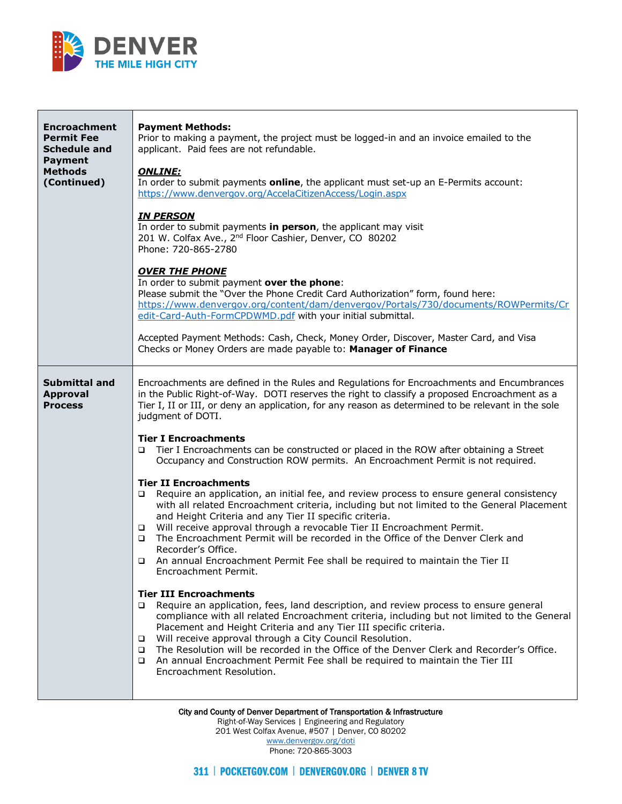

| <b>Encroachment</b><br><b>Permit Fee</b><br><b>Schedule and</b><br><b>Payment</b><br><b>Methods</b><br>(Continued) | <b>Payment Methods:</b><br>Prior to making a payment, the project must be logged-in and an invoice emailed to the<br>applicant. Paid fees are not refundable.<br><b>ONLINE:</b><br>In order to submit payments <b>online</b> , the applicant must set-up an E-Permits account:<br>https://www.denvergov.org/AccelaCitizenAccess/Login.aspx<br><b>IN PERSON</b><br>In order to submit payments in person, the applicant may visit<br>201 W. Colfax Ave., 2 <sup>nd</sup> Floor Cashier, Denver, CO 80202<br>Phone: 720-865-2780<br><b>OVER THE PHONE</b><br>In order to submit payment over the phone:<br>Please submit the "Over the Phone Credit Card Authorization" form, found here:<br>https://www.denvergov.org/content/dam/denvergov/Portals/730/documents/ROWPermits/Cr<br>edit-Card-Auth-FormCPDWMD.pdf with your initial submittal.<br>Accepted Payment Methods: Cash, Check, Money Order, Discover, Master Card, and Visa<br>Checks or Money Orders are made payable to: Manager of Finance                                                                                                                                                                                                                                                                                                                                                                                                                                                                                                                                                                                                                                                                                                                                               |
|--------------------------------------------------------------------------------------------------------------------|-----------------------------------------------------------------------------------------------------------------------------------------------------------------------------------------------------------------------------------------------------------------------------------------------------------------------------------------------------------------------------------------------------------------------------------------------------------------------------------------------------------------------------------------------------------------------------------------------------------------------------------------------------------------------------------------------------------------------------------------------------------------------------------------------------------------------------------------------------------------------------------------------------------------------------------------------------------------------------------------------------------------------------------------------------------------------------------------------------------------------------------------------------------------------------------------------------------------------------------------------------------------------------------------------------------------------------------------------------------------------------------------------------------------------------------------------------------------------------------------------------------------------------------------------------------------------------------------------------------------------------------------------------------------------------------------------------------------------------------------------------|
| <b>Submittal and</b><br><b>Approval</b><br><b>Process</b>                                                          | Encroachments are defined in the Rules and Regulations for Encroachments and Encumbrances<br>in the Public Right-of-Way. DOTI reserves the right to classify a proposed Encroachment as a<br>Tier I, II or III, or deny an application, for any reason as determined to be relevant in the sole<br>judgment of DOTI.<br><b>Tier I Encroachments</b><br>Tier I Encroachments can be constructed or placed in the ROW after obtaining a Street<br>$\Box$<br>Occupancy and Construction ROW permits. An Encroachment Permit is not required.<br><b>Tier II Encroachments</b><br>Require an application, an initial fee, and review process to ensure general consistency<br>▫<br>with all related Encroachment criteria, including but not limited to the General Placement<br>and Height Criteria and any Tier II specific criteria.<br>Will receive approval through a revocable Tier II Encroachment Permit.<br>$\Box$<br>The Encroachment Permit will be recorded in the Office of the Denver Clerk and<br>$\Box$<br>Recorder's Office.<br>An annual Encroachment Permit Fee shall be required to maintain the Tier II<br>Encroachment Permit.<br><b>Tier III Encroachments</b><br>Require an application, fees, land description, and review process to ensure general<br>$\Box$<br>compliance with all related Encroachment criteria, including but not limited to the General<br>Placement and Height Criteria and any Tier III specific criteria.<br>Will receive approval through a City Council Resolution.<br>$\Box$<br>The Resolution will be recorded in the Office of the Denver Clerk and Recorder's Office.<br>□<br>An annual Encroachment Permit Fee shall be required to maintain the Tier III<br>$\Box$<br>Encroachment Resolution. |

City and County of Denver Department of Transportation & Infrastructure

Right-of-Way Services | Engineering and Regulatory 201 West Colfax Avenue, #507 | Denver, CO 80202

[www.denvergov.org/doti](https://www.denvergov.org/content/denvergov/en/transportation-mobility.html) Phone: 720-865-3003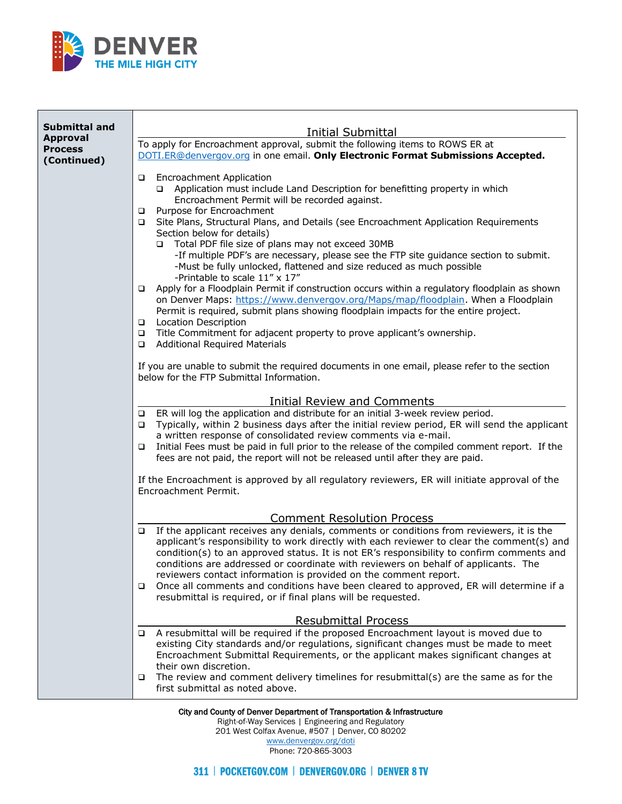

| <b>Submittal and</b> |                                                                                                                                                                                       |
|----------------------|---------------------------------------------------------------------------------------------------------------------------------------------------------------------------------------|
| <b>Approval</b>      | <b>Initial Submittal</b><br>To apply for Encroachment approval, submit the following items to ROWS ER at                                                                              |
| <b>Process</b>       | DOTI.ER@denvergov.org in one email. Only Electronic Format Submissions Accepted.                                                                                                      |
| (Continued)          |                                                                                                                                                                                       |
|                      | <b>Encroachment Application</b><br>❏                                                                                                                                                  |
|                      | Application must include Land Description for benefitting property in which<br>□<br>Encroachment Permit will be recorded against.                                                     |
|                      | Purpose for Encroachment<br>❏                                                                                                                                                         |
|                      | Site Plans, Structural Plans, and Details (see Encroachment Application Requirements<br>❏                                                                                             |
|                      | Section below for details)<br>Total PDF file size of plans may not exceed 30MB<br>□                                                                                                   |
|                      | -If multiple PDF's are necessary, please see the FTP site guidance section to submit.                                                                                                 |
|                      | -Must be fully unlocked, flattened and size reduced as much possible                                                                                                                  |
|                      | -Printable to scale 11" x 17"                                                                                                                                                         |
|                      | Apply for a Floodplain Permit if construction occurs within a regulatory floodplain as shown<br>❏<br>on Denver Maps: https://www.denvergov.org/Maps/map/floodplain. When a Floodplain |
|                      | Permit is required, submit plans showing floodplain impacts for the entire project.                                                                                                   |
|                      | <b>Location Description</b><br>$\Box$                                                                                                                                                 |
|                      | Title Commitment for adjacent property to prove applicant's ownership.<br>$\Box$                                                                                                      |
|                      | <b>Additional Required Materials</b><br>❏                                                                                                                                             |
|                      | If you are unable to submit the required documents in one email, please refer to the section                                                                                          |
|                      | below for the FTP Submittal Information.                                                                                                                                              |
|                      | Initial Review and Comments                                                                                                                                                           |
|                      | ER will log the application and distribute for an initial 3-week review period.<br>❏                                                                                                  |
|                      | Typically, within 2 business days after the initial review period, ER will send the applicant<br>❏                                                                                    |
|                      | a written response of consolidated review comments via e-mail.                                                                                                                        |
|                      | Initial Fees must be paid in full prior to the release of the compiled comment report. If the<br>❏<br>fees are not paid, the report will not be released until after they are paid.   |
|                      |                                                                                                                                                                                       |
|                      | If the Encroachment is approved by all regulatory reviewers, ER will initiate approval of the                                                                                         |
|                      | Encroachment Permit.                                                                                                                                                                  |
|                      |                                                                                                                                                                                       |
|                      | <b>Comment Resolution Process</b><br>If the applicant receives any denials, comments or conditions from reviewers, it is the<br>❏                                                     |
|                      | applicant's responsibility to work directly with each reviewer to clear the comment(s) and                                                                                            |
|                      | condition(s) to an approved status. It is not ER's responsibility to confirm comments and                                                                                             |
|                      | conditions are addressed or coordinate with reviewers on behalf of applicants. The                                                                                                    |
|                      | reviewers contact information is provided on the comment report.<br>Once all comments and conditions have been cleared to approved, ER will determine if a<br>❏                       |
|                      | resubmittal is required, or if final plans will be requested.                                                                                                                         |
|                      |                                                                                                                                                                                       |
|                      | <b>Resubmittal Process</b><br>A resubmittal will be required if the proposed Encroachment layout is moved due to                                                                      |
|                      | o.<br>existing City standards and/or regulations, significant changes must be made to meet                                                                                            |
|                      | Encroachment Submittal Requirements, or the applicant makes significant changes at                                                                                                    |
|                      | their own discretion.                                                                                                                                                                 |
|                      | The review and comment delivery timelines for resubmittal(s) are the same as for the<br>❏<br>first submittal as noted above.                                                          |
|                      |                                                                                                                                                                                       |

Right-of-Way Services | Engineering and Regulatory

201 West Colfax Avenue, #507 | Denver, CO 80202 [www.denvergov.org/doti](https://www.denvergov.org/content/denvergov/en/transportation-mobility.html)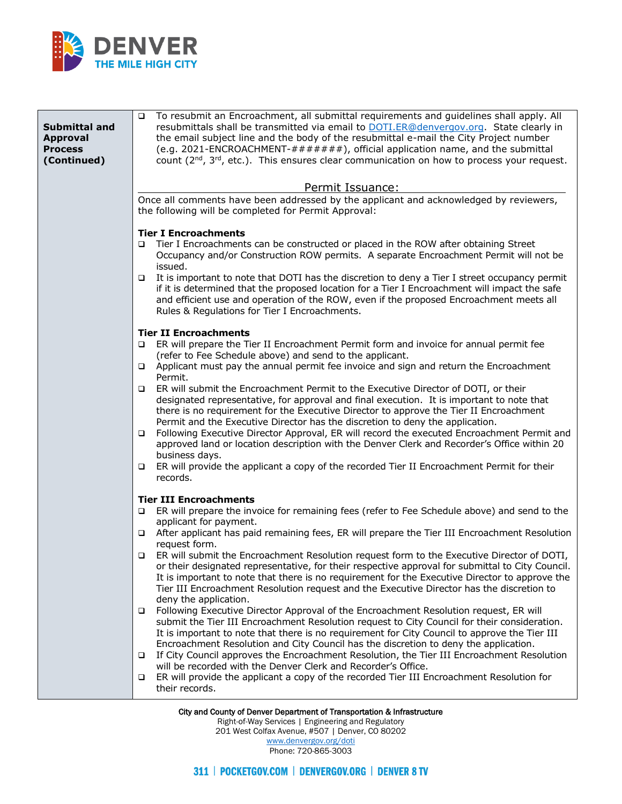

| Submittal and<br><b>Approval</b><br><b>Process</b><br>(Continued) | To resubmit an Encroachment, all submittal requirements and guidelines shall apply. All<br>$\Box$<br>resubmittals shall be transmitted via email to DOTI.ER@denvergov.org. State clearly in<br>the email subject line and the body of the resubmittal e-mail the City Project number<br>(e.g. 2021-ENCROACHMENT-#######), official application name, and the submittal<br>count $(2^{nd}, 3^{rd}, etc.).$ This ensures clear communication on how to process your request.                                                                                                                                                                                                                                                                                                                                                                                                                                                                                                                                                                                                                                                                                                                                                                                                                                                                                                                                            |
|-------------------------------------------------------------------|-----------------------------------------------------------------------------------------------------------------------------------------------------------------------------------------------------------------------------------------------------------------------------------------------------------------------------------------------------------------------------------------------------------------------------------------------------------------------------------------------------------------------------------------------------------------------------------------------------------------------------------------------------------------------------------------------------------------------------------------------------------------------------------------------------------------------------------------------------------------------------------------------------------------------------------------------------------------------------------------------------------------------------------------------------------------------------------------------------------------------------------------------------------------------------------------------------------------------------------------------------------------------------------------------------------------------------------------------------------------------------------------------------------------------|
|                                                                   | Permit Issuance:<br>Once all comments have been addressed by the applicant and acknowledged by reviewers,<br>the following will be completed for Permit Approval:                                                                                                                                                                                                                                                                                                                                                                                                                                                                                                                                                                                                                                                                                                                                                                                                                                                                                                                                                                                                                                                                                                                                                                                                                                                     |
|                                                                   | <b>Tier I Encroachments</b><br>Tier I Encroachments can be constructed or placed in the ROW after obtaining Street<br>Occupancy and/or Construction ROW permits. A separate Encroachment Permit will not be<br>issued.<br>It is important to note that DOTI has the discretion to deny a Tier I street occupancy permit<br>$\Box$<br>if it is determined that the proposed location for a Tier I Encroachment will impact the safe<br>and efficient use and operation of the ROW, even if the proposed Encroachment meets all<br>Rules & Regulations for Tier I Encroachments.                                                                                                                                                                                                                                                                                                                                                                                                                                                                                                                                                                                                                                                                                                                                                                                                                                        |
|                                                                   | <b>Tier II Encroachments</b><br>ER will prepare the Tier II Encroachment Permit form and invoice for annual permit fee<br>□<br>(refer to Fee Schedule above) and send to the applicant.<br>Applicant must pay the annual permit fee invoice and sign and return the Encroachment<br>$\Box$<br>Permit.<br>ER will submit the Encroachment Permit to the Executive Director of DOTI, or their<br>□<br>designated representative, for approval and final execution. It is important to note that<br>there is no requirement for the Executive Director to approve the Tier II Encroachment<br>Permit and the Executive Director has the discretion to deny the application.<br>Following Executive Director Approval, ER will record the executed Encroachment Permit and<br>$\Box$<br>approved land or location description with the Denver Clerk and Recorder's Office within 20<br>business days.<br>ER will provide the applicant a copy of the recorded Tier II Encroachment Permit for their<br>$\Box$<br>records.                                                                                                                                                                                                                                                                                                                                                                                                 |
|                                                                   | <b>Tier III Encroachments</b><br>ER will prepare the invoice for remaining fees (refer to Fee Schedule above) and send to the<br>$\Box$<br>applicant for payment.<br>After applicant has paid remaining fees, ER will prepare the Tier III Encroachment Resolution<br>$\Box$<br>request form.<br>ER will submit the Encroachment Resolution request form to the Executive Director of DOTI,<br>$\Box$<br>or their designated representative, for their respective approval for submittal to City Council.<br>It is important to note that there is no requirement for the Executive Director to approve the<br>Tier III Encroachment Resolution request and the Executive Director has the discretion to<br>deny the application.<br>Following Executive Director Approval of the Encroachment Resolution request, ER will<br>$\Box$<br>submit the Tier III Encroachment Resolution request to City Council for their consideration.<br>It is important to note that there is no requirement for City Council to approve the Tier III<br>Encroachment Resolution and City Council has the discretion to deny the application.<br>If City Council approves the Encroachment Resolution, the Tier III Encroachment Resolution<br>□<br>will be recorded with the Denver Clerk and Recorder's Office.<br>ER will provide the applicant a copy of the recorded Tier III Encroachment Resolution for<br>□<br>their records. |

Right-of-Way Services | Engineering and Regulatory 201 West Colfax Avenue, #507 | Denver, CO 80202

[www.denvergov.org/doti](https://www.denvergov.org/content/denvergov/en/transportation-mobility.html) Phone: 720-865-3003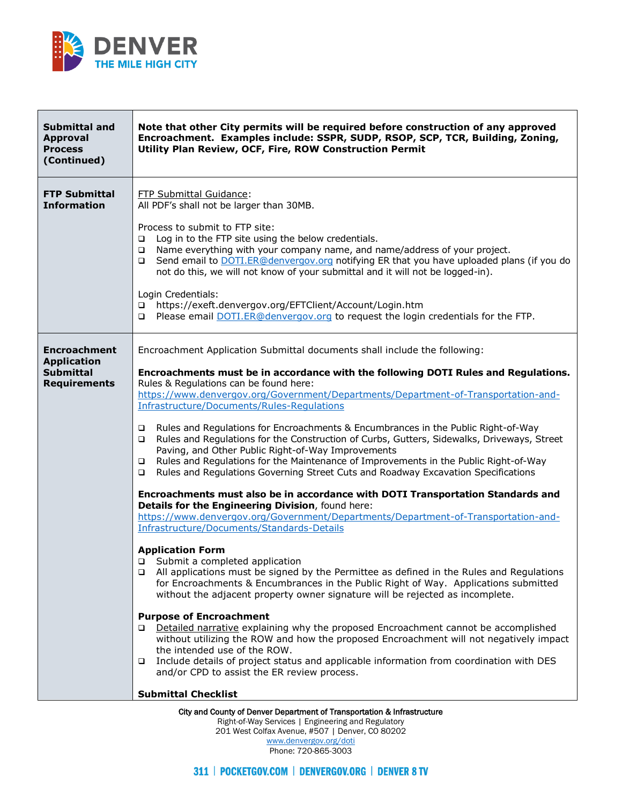

| <b>Submittal and</b><br><b>Approval</b><br><b>Process</b><br>(Continued) | Note that other City permits will be required before construction of any approved<br>Encroachment. Examples include: SSPR, SUDP, RSOP, SCP, TCR, Building, Zoning,<br>Utility Plan Review, OCF, Fire, ROW Construction Permit                                                                                                                                                                                                          |
|--------------------------------------------------------------------------|----------------------------------------------------------------------------------------------------------------------------------------------------------------------------------------------------------------------------------------------------------------------------------------------------------------------------------------------------------------------------------------------------------------------------------------|
| <b>FTP Submittal</b><br><b>Information</b>                               | <b>FTP Submittal Guidance:</b><br>All PDF's shall not be larger than 30MB.<br>Process to submit to FTP site:<br>Log in to the FTP site using the below credentials.<br>$\Box$                                                                                                                                                                                                                                                          |
|                                                                          | Name everything with your company name, and name/address of your project.<br>$\Box$<br>Send email to DOTI.ER@denvergov.org notifying ER that you have uploaded plans (if you do<br>$\Box$<br>not do this, we will not know of your submittal and it will not be logged-in).                                                                                                                                                            |
|                                                                          | Login Credentials:<br>https://exeft.denvergov.org/EFTClient/Account/Login.htm<br>$\Box$<br>Please email DOTI.ER@denvergov.org to request the login credentials for the FTP.<br>□                                                                                                                                                                                                                                                       |
| <b>Encroachment</b><br><b>Application</b>                                | Encroachment Application Submittal documents shall include the following:                                                                                                                                                                                                                                                                                                                                                              |
| <b>Submittal</b><br><b>Requirements</b>                                  | Encroachments must be in accordance with the following DOTI Rules and Regulations.<br>Rules & Regulations can be found here:<br>https://www.denvergov.org/Government/Departments/Department-of-Transportation-and-<br>Infrastructure/Documents/Rules-Regulations                                                                                                                                                                       |
|                                                                          | Rules and Regulations for Encroachments & Encumbrances in the Public Right-of-Way<br>❏<br>Rules and Regulations for the Construction of Curbs, Gutters, Sidewalks, Driveways, Street<br>□<br>Paving, and Other Public Right-of-Way Improvements<br>Rules and Regulations for the Maintenance of Improvements in the Public Right-of-Way<br>❏<br>Rules and Regulations Governing Street Cuts and Roadway Excavation Specifications<br>□ |
|                                                                          | Encroachments must also be in accordance with DOTI Transportation Standards and<br>Details for the Engineering Division, found here:                                                                                                                                                                                                                                                                                                   |
|                                                                          | https://www.denvergov.org/Government/Departments/Department-of-Transportation-and-<br>Infrastructure/Documents/Standards-Details                                                                                                                                                                                                                                                                                                       |
|                                                                          | <b>Application Form</b><br>□ Submit a completed application<br>All applications must be signed by the Permittee as defined in the Rules and Regulations<br>□<br>for Encroachments & Encumbrances in the Public Right of Way. Applications submitted<br>without the adjacent property owner signature will be rejected as incomplete.                                                                                                   |
|                                                                          | <b>Purpose of Encroachment</b><br>Detailed narrative explaining why the proposed Encroachment cannot be accomplished<br>without utilizing the ROW and how the proposed Encroachment will not negatively impact<br>the intended use of the ROW.                                                                                                                                                                                         |
|                                                                          | Include details of project status and applicable information from coordination with DES<br>❏<br>and/or CPD to assist the ER review process.                                                                                                                                                                                                                                                                                            |
|                                                                          | <b>Submittal Checklist</b>                                                                                                                                                                                                                                                                                                                                                                                                             |
|                                                                          | City and County of Denver Department of Transportation & Infrastructure                                                                                                                                                                                                                                                                                                                                                                |

Right-of-Way Services | Engineering and Regulatory 201 West Colfax Avenue, #507 | Denver, CO 80202 [www.denvergov.org/doti](https://www.denvergov.org/content/denvergov/en/transportation-mobility.html)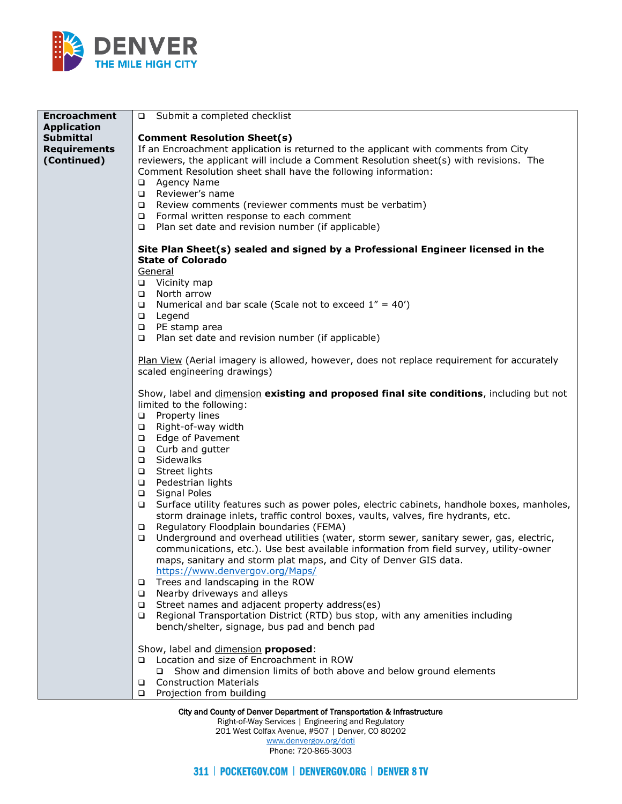

| <b>Encroachment</b>                                    | □ Submit a completed checklist                                                                                                                                                                                                                                                                                                                                                                                                                                                                                                                                                                                                                                                                                                                                                                                                                                                                                                                                                                                                                                                                                                                                                                                              |
|--------------------------------------------------------|-----------------------------------------------------------------------------------------------------------------------------------------------------------------------------------------------------------------------------------------------------------------------------------------------------------------------------------------------------------------------------------------------------------------------------------------------------------------------------------------------------------------------------------------------------------------------------------------------------------------------------------------------------------------------------------------------------------------------------------------------------------------------------------------------------------------------------------------------------------------------------------------------------------------------------------------------------------------------------------------------------------------------------------------------------------------------------------------------------------------------------------------------------------------------------------------------------------------------------|
| <b>Application</b>                                     |                                                                                                                                                                                                                                                                                                                                                                                                                                                                                                                                                                                                                                                                                                                                                                                                                                                                                                                                                                                                                                                                                                                                                                                                                             |
| <b>Submittal</b><br><b>Requirements</b><br>(Continued) | <b>Comment Resolution Sheet(s)</b><br>If an Encroachment application is returned to the applicant with comments from City<br>reviewers, the applicant will include a Comment Resolution sheet(s) with revisions. The<br>Comment Resolution sheet shall have the following information:<br>Agency Name<br>$\Box$<br>Reviewer's name<br>$\Box$<br>Review comments (reviewer comments must be verbatim)<br>$\Box$<br>Formal written response to each comment<br>$\Box$<br>Plan set date and revision number (if applicable)<br>$\Box$                                                                                                                                                                                                                                                                                                                                                                                                                                                                                                                                                                                                                                                                                          |
|                                                        | Site Plan Sheet(s) sealed and signed by a Professional Engineer licensed in the<br><b>State of Colorado</b><br>General                                                                                                                                                                                                                                                                                                                                                                                                                                                                                                                                                                                                                                                                                                                                                                                                                                                                                                                                                                                                                                                                                                      |
|                                                        | □ Vicinity map<br>North arrow<br>$\Box$<br>Numerical and bar scale (Scale not to exceed $1'' = 40'$ )<br>$\Box$<br>Legend<br>$\Box$                                                                                                                                                                                                                                                                                                                                                                                                                                                                                                                                                                                                                                                                                                                                                                                                                                                                                                                                                                                                                                                                                         |
|                                                        | PE stamp area<br>$\Box$<br>Plan set date and revision number (if applicable)<br>$\Box$                                                                                                                                                                                                                                                                                                                                                                                                                                                                                                                                                                                                                                                                                                                                                                                                                                                                                                                                                                                                                                                                                                                                      |
|                                                        | Plan View (Aerial imagery is allowed, however, does not replace requirement for accurately<br>scaled engineering drawings)                                                                                                                                                                                                                                                                                                                                                                                                                                                                                                                                                                                                                                                                                                                                                                                                                                                                                                                                                                                                                                                                                                  |
|                                                        | Show, label and <i>dimension</i> existing and proposed final site conditions, including but not<br>limited to the following:<br>Property lines<br>$\Box$<br>Right-of-way width<br>$\Box$<br>Edge of Pavement<br>$\Box$<br>Curb and gutter<br>$\Box$<br>Sidewalks<br>$\Box$<br>Street lights<br>$\Box$<br>Pedestrian lights<br>$\Box$<br><b>Signal Poles</b><br>$\Box$<br>Surface utility features such as power poles, electric cabinets, handhole boxes, manholes,<br>$\Box$<br>storm drainage inlets, traffic control boxes, vaults, valves, fire hydrants, etc.<br>Regulatory Floodplain boundaries (FEMA)<br>$\Box$<br>Underground and overhead utilities (water, storm sewer, sanitary sewer, gas, electric,<br>$\Box$<br>communications, etc.). Use best available information from field survey, utility-owner<br>maps, sanitary and storm plat maps, and City of Denver GIS data.<br>https://www.denvergov.org/Maps/<br>Trees and landscaping in the ROW<br>$\Box$<br>Nearby driveways and alleys<br>$\Box$<br>Street names and adjacent property address(es)<br>$\Box$<br>Regional Transportation District (RTD) bus stop, with any amenities including<br>$\Box$<br>bench/shelter, signage, bus pad and bench pad |
|                                                        | Show, label and dimension proposed:<br>Location and size of Encroachment in ROW<br>$\Box$<br>Show and dimension limits of both above and below ground elements<br><b>Construction Materials</b><br>$\Box$<br>Projection from building<br>$\Box$                                                                                                                                                                                                                                                                                                                                                                                                                                                                                                                                                                                                                                                                                                                                                                                                                                                                                                                                                                             |

Right-of-Way Services | Engineering and Regulatory

201 West Colfax Avenue, #507 | Denver, CO 80202

[www.denvergov.org/doti](https://www.denvergov.org/content/denvergov/en/transportation-mobility.html) Phone: 720-865-3003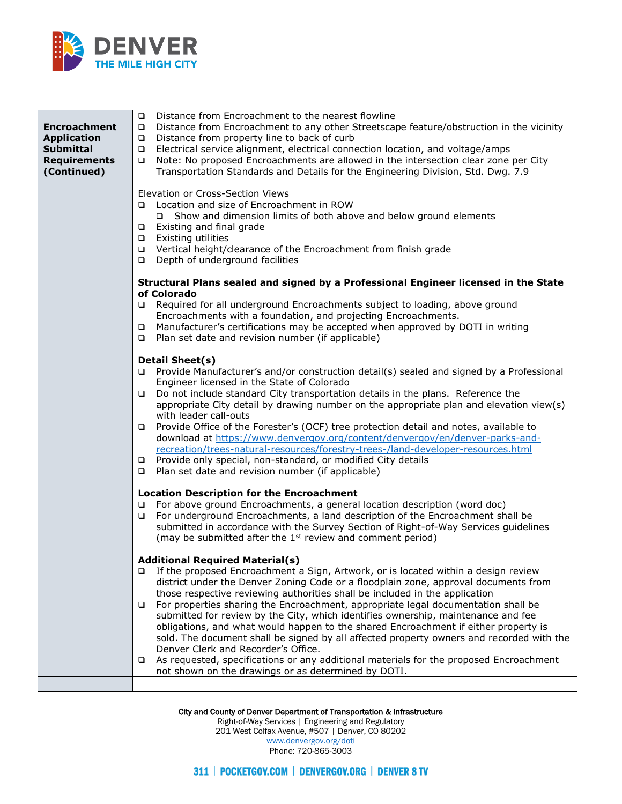

| <b>Encroachment</b><br><b>Application</b><br><b>Submittal</b><br><b>Requirements</b><br>(Continued) | Distance from Encroachment to the nearest flowline<br>$\Box$<br>Distance from Encroachment to any other Streetscape feature/obstruction in the vicinity<br>$\Box$<br>Distance from property line to back of curb<br>$\Box$<br>Electrical service alignment, electrical connection location, and voltage/amps<br>$\Box$<br>Note: No proposed Encroachments are allowed in the intersection clear zone per City<br>$\Box$<br>Transportation Standards and Details for the Engineering Division, Std. Dwg. 7.9                                                                                                                                                                                                                                                                                                                                                                  |
|-----------------------------------------------------------------------------------------------------|------------------------------------------------------------------------------------------------------------------------------------------------------------------------------------------------------------------------------------------------------------------------------------------------------------------------------------------------------------------------------------------------------------------------------------------------------------------------------------------------------------------------------------------------------------------------------------------------------------------------------------------------------------------------------------------------------------------------------------------------------------------------------------------------------------------------------------------------------------------------------|
|                                                                                                     | <b>Elevation or Cross-Section Views</b><br>Location and size of Encroachment in ROW<br>o.<br>Show and dimension limits of both above and below ground elements<br>$\Box$<br>Existing and final grade<br>$\Box$<br>Existing utilities<br>$\Box$<br>Vertical height/clearance of the Encroachment from finish grade<br>$\Box$<br>Depth of underground facilities<br>$\Box$                                                                                                                                                                                                                                                                                                                                                                                                                                                                                                     |
|                                                                                                     | Structural Plans sealed and signed by a Professional Engineer licensed in the State<br>of Colorado<br>Required for all underground Encroachments subject to loading, above ground<br>$\Box$<br>Encroachments with a foundation, and projecting Encroachments.<br>Manufacturer's certifications may be accepted when approved by DOTI in writing<br>$\Box$<br>Plan set date and revision number (if applicable)<br>$\Box$                                                                                                                                                                                                                                                                                                                                                                                                                                                     |
|                                                                                                     | <b>Detail Sheet(s)</b><br>Provide Manufacturer's and/or construction detail(s) sealed and signed by a Professional<br>o.<br>Engineer licensed in the State of Colorado<br>Do not include standard City transportation details in the plans. Reference the<br>$\Box$<br>appropriate City detail by drawing number on the appropriate plan and elevation view(s)<br>with leader call-outs<br>Provide Office of the Forester's (OCF) tree protection detail and notes, available to<br>$\Box$<br>download at https://www.denvergov.org/content/denvergov/en/denver-parks-and-<br>recreation/trees-natural-resources/forestry-trees-/land-developer-resources.html<br>Provide only special, non-standard, or modified City details<br>$\Box$<br>Plan set date and revision number (if applicable)<br>$\Box$                                                                      |
|                                                                                                     | <b>Location Description for the Encroachment</b><br>For above ground Encroachments, a general location description (word doc)<br>□<br>For underground Encroachments, a land description of the Encroachment shall be<br>❏<br>submitted in accordance with the Survey Section of Right-of-Way Services guidelines<br>(may be submitted after the 1 <sup>st</sup> review and comment period)                                                                                                                                                                                                                                                                                                                                                                                                                                                                                   |
|                                                                                                     | <b>Additional Required Material(s)</b><br>If the proposed Encroachment a Sign, Artwork, or is located within a design review<br>o.<br>district under the Denver Zoning Code or a floodplain zone, approval documents from<br>those respective reviewing authorities shall be included in the application<br>For properties sharing the Encroachment, appropriate legal documentation shall be<br>$\Box$<br>submitted for review by the City, which identifies ownership, maintenance and fee<br>obligations, and what would happen to the shared Encroachment if either property is<br>sold. The document shall be signed by all affected property owners and recorded with the<br>Denver Clerk and Recorder's Office.<br>As requested, specifications or any additional materials for the proposed Encroachment<br>□<br>not shown on the drawings or as determined by DOTI. |
|                                                                                                     |                                                                                                                                                                                                                                                                                                                                                                                                                                                                                                                                                                                                                                                                                                                                                                                                                                                                              |

City and County of Denver Department of Transportation & Infrastructure

Right-of-Way Services | Engineering and Regulatory 201 West Colfax Avenue, #507 | Denver, CO 80202 [www.denvergov.org/doti](https://www.denvergov.org/content/denvergov/en/transportation-mobility.html)